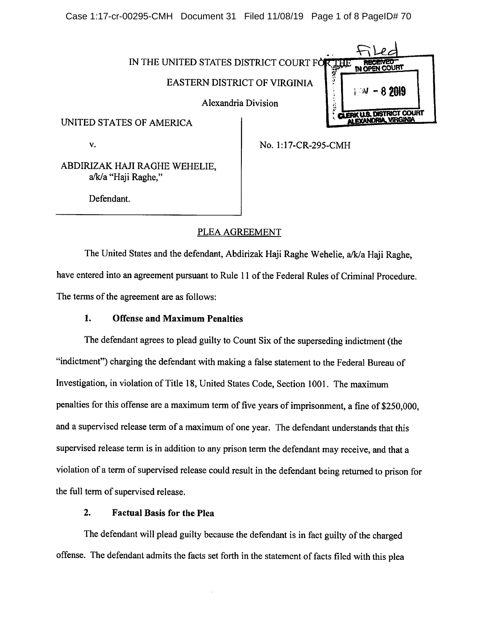Case 1:17-cr-00295-CMH Document 31 Filed 11/08/19 Page 1 of 8 PageID# 70



V.

No. l;17-CR-295-CMH

ABDIRIZAK HAJI RAGHE WEHELIE, a/k/a "Haji Raghe,"

Defendant.

# PLEA AGREEMENT

The United States and the defendant, Abdirizak Haji Raghe Wehelie, a/k/a Haji Raghe, have entered into an agreement pursuant to Rule 11 of the Federal Rules of Criminal Procedure. The terms of the agreement are as follows:

## 1. Offense and Maximum Penalties

The defendant agrees to plead guilty to Count Six of the superseding indictment (the "indictment") charging the defendant with making a false statement to the Federal Bureau of Investigation, in violation of Title 18, United States Code, Section 1001. The maximum penalties for this offense are a maximum term of five years of imprisonment, a fine of \$250,000, and a supervised release term of a maximum of one year. The defendant understands that this supervised release term is in addition to any prison term the defendant may receive, and that a violation of a term of supervised release could result in the defendant being returned to prison for the full term of supervised release.

## 2. Factual Basis for the Plea

The defendant will plead guilty because the defendant is in fact guilty of the charged offense. The defendant admits the facts set forth in the statement of facts filed with this plea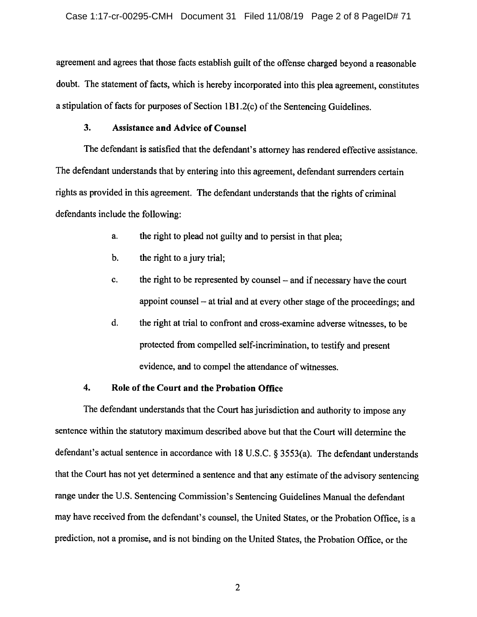agreement and agrees that those facts establish guilt of the offense charged beyond a reasonable doubt. The statement of facts, which is hereby incorporated into this plea agreement, constitutes a stipulation of facts for purposes of Section 1B1.2(c) of the Sentencing Guidelines.

## $3.$ **Assistance and Advice of Counsel**

The defendant is satisfied that the defendant's attorney has rendered effective assistance. The defendant understands that by entering into this agreement, defendant surrenders certain rights as provided in this agreement. The defendant understands that the rights of criminal defendants include the following:

- the right to plead not guilty and to persist in that plea; a.
- $<sub>b</sub>$ </sub> the right to a jury trial;
- the right to be represented by counsel and if necessary have the court c. appoint counsel – at trial and at every other stage of the proceedings; and
- d. the right at trial to confront and cross-examine adverse witnesses, to be protected from compelled self-incrimination, to testify and present evidence, and to compel the attendance of witnesses.

## $\overline{4}$ . Role of the Court and the Probation Office

The defendant understands that the Court has jurisdiction and authority to impose any sentence within the statutory maximum described above but that the Court will determine the defendant's actual sentence in accordance with 18 U.S.C. § 3553(a). The defendant understands that the Court has not yet determined a sentence and that any estimate of the advisory sentencing range under the U.S. Sentencing Commission's Sentencing Guidelines Manual the defendant may have received from the defendant's counsel, the United States, or the Probation Office, is a prediction, not a promise, and is not binding on the United States, the Probation Office, or the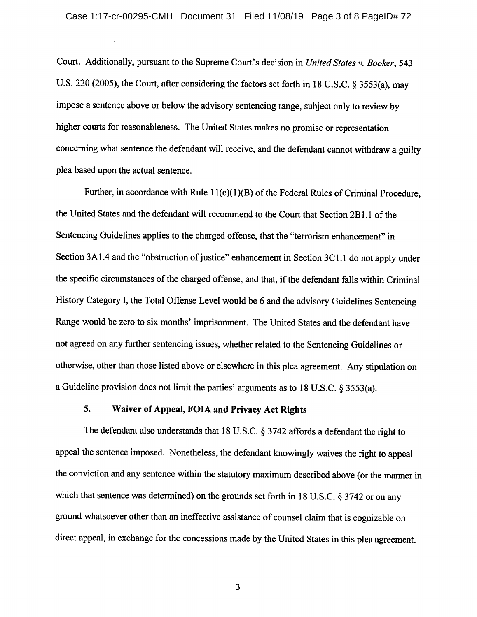Court. Additionally, pursuant to the Supreme Court's decision in United States v. Booker, 543 U.S. 220 (2005), the Court, after considering the factors set forth in 18 U.S.C. § 3553(a), may impose a sentence above or below the advisory sentencing range, subject only to review by higher courts for reasonableness. The United States makes no promise or representation concerning what sentence the defendant will receive, and the defendant cannot withdraw a guilty plea based upon the actual sentence.

Further, in accordance with Rule 11(c)(1)(B) of the Federal Rules of Criminal Procedure. the United States and the defendant will recommend to the Court that Section 2B1.1 of the Sentencing Guidelines applies to the charged offense, that the "terrorism enhancement" in Section 3A1.4 and the "obstruction of justice" enhancement in Section 3C1.1 do not apply under the specific circumstances of the charged offense, and that, if the defendant falls within Criminal History Category I, the Total Offense Level would be 6 and the advisory Guidelines Sentencing Range would be zero to six months' imprisonment. The United States and the defendant have not agreed on any further sentencing issues, whether related to the Sentencing Guidelines or otherwise, other than those listed above or elsewhere in this plea agreement. Any stipulation on a Guideline provision does not limit the parties' arguments as to 18 U.S.C.  $\S 3553(a)$ .

### 5. Waiver of Appeal, FOIA and Privacy Act Rights

The defendant also understands that 18 U.S.C. § 3742 affords a defendant the right to appeal the sentence imposed. Nonetheless, the defendant knowingly waives the right to appeal the conviction and any sentence within the statutory maximum described above (or the manner in which that sentence was determined) on the grounds set forth in 18 U.S.C.  $\S 3742$  or on any ground whatsoever other than an ineffective assistance of counsel claim that is cognizable on direct appeal, in exchange for the concessions made by the United States in this plea agreement.

 $\overline{3}$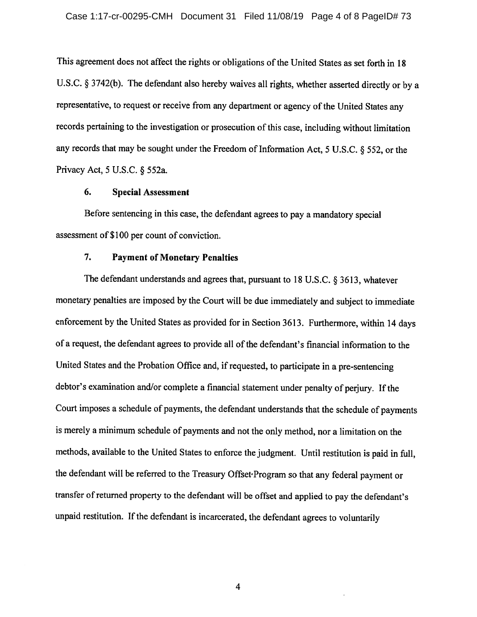This agreement does not affect the rights or obligations of the United States as set forth in 18 U.S.C. § 3742(b). The defendant also hereby waives all rights, whether asserted directly or by a representative, to request or receive from any department or agency of the United States any records pertaining to the investigation or prosecution of this case, including without limitation any records that may be sought under the Freedom of Information Act, 5 U.S.C. § 552, or the Privacy Act, 5 U.S.C. § 552a.

#### 6. **Special Assessment**

Before sentencing in this case, the defendant agrees to pay a mandatory special assessment of \$100 per count of conviction.

## $7.$ **Payment of Monetary Penalties**

The defendant understands and agrees that, pursuant to 18 U.S.C. § 3613, whatever monetary penalties are imposed by the Court will be due immediately and subject to immediate enforcement by the United States as provided for in Section 3613. Furthermore, within 14 days of a request, the defendant agrees to provide all of the defendant's financial information to the United States and the Probation Office and, if requested, to participate in a pre-sentencing debtor's examination and/or complete a financial statement under penalty of periury. If the Court imposes a schedule of payments, the defendant understands that the schedule of payments is merely a minimum schedule of payments and not the only method, nor a limitation on the methods, available to the United States to enforce the judgment. Until restitution is paid in full, the defendant will be referred to the Treasury Offset Program so that any federal payment or transfer of returned property to the defendant will be offset and applied to pay the defendant's unpaid restitution. If the defendant is incarcerated, the defendant agrees to voluntarily

 $\overline{4}$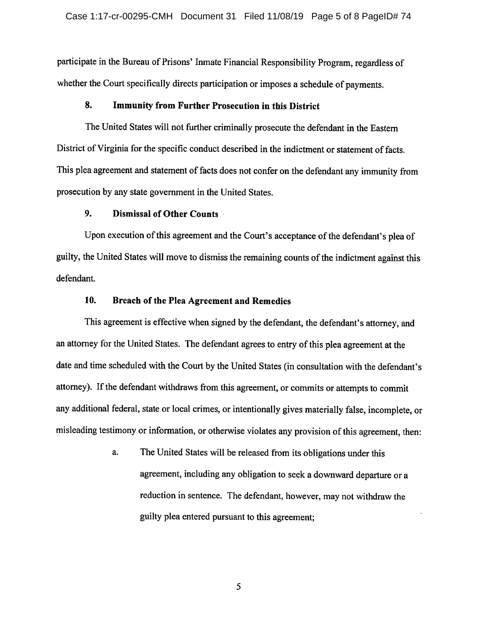participate in the Bureau of Prisons' Inmate Financial Responsibility Program, regardless of whether the Court specifically directs participation or imposes a schedule of payments.

## 8. **Immunity from Further Prosecution in this District**

The United States will not further criminally prosecute the defendant in the Eastern District of Virginia for the specific conduct described in the indictment or statement of facts. This plea agreement and statement of facts does not confer on the defendant any immunity from prosecution by any state government in the United States.

## 9. Dismissal of Other Counts

Upon execution of this agreement and the Court's acceptance of the defendant's plea of guilty, the United States will move to dismiss the remaining counts of the indictment against this defendant.

## 10. Breach of the Plea Agreement and Remedies

This agreement is effective when signed by the defendant, the defendant's attorney, and an attorney for the United States. The defendant agrees to entry of this plea agreement at the date and time scheduled with the Court by the United States (in consultation with the defendant's attorney). If the defendant withdraws from this agreement, or commits or attempts to commit any additional federal, state or local crimes, or intentionally gives materially false, incomplete, or misleading testimony or information, or otherwise violates any provision of this agreement, then:

> The United States will be released from its obligations under this a. agreement, including any obligation to seek a downward departure or a reduction in sentence. The defendant, however, may not withdraw the guilty plea entered pursuant to this agreement;

> > 5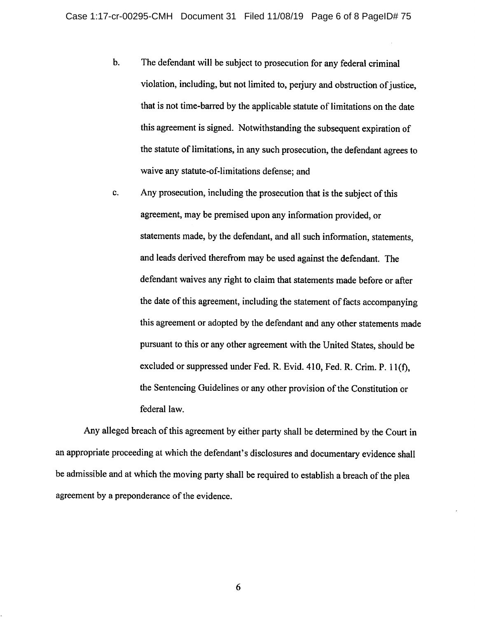- $$ The defendant will be subject to prosecution for any federal criminal violation, including, but not limited to, perjury and obstruction of justice, that is not time-barred by the applicable statute of limitations on the date this agreement is signed. Notwithstanding the subsequent expiration of the statute of limitations, in any such prosecution, the defendant agrees to waive any statute-of-limitations defense; and
- Any prosecution, including the prosecution that is the subject of this  $c.$ agreement, may be premised upon any information provided, or statements made, by the defendant, and all such information, statements, and leads derived therefrom may be used against the defendant. The defendant waives any right to claim that statements made before or after the date of this agreement, including the statement of facts accompanying this agreement or adopted by the defendant and any other statements made pursuant to this or any other agreement with the United States, should be excluded or suppressed under Fed. R. Evid. 410, Fed. R. Crim. P. 11(f), the Sentencing Guidelines or any other provision of the Constitution or federal law.

Any alleged breach of this agreement by either party shall be determined by the Court in an appropriate proceeding at which the defendant's disclosures and documentary evidence shall be admissible and at which the moving party shall be required to establish a breach of the plea agreement by a preponderance of the evidence.

6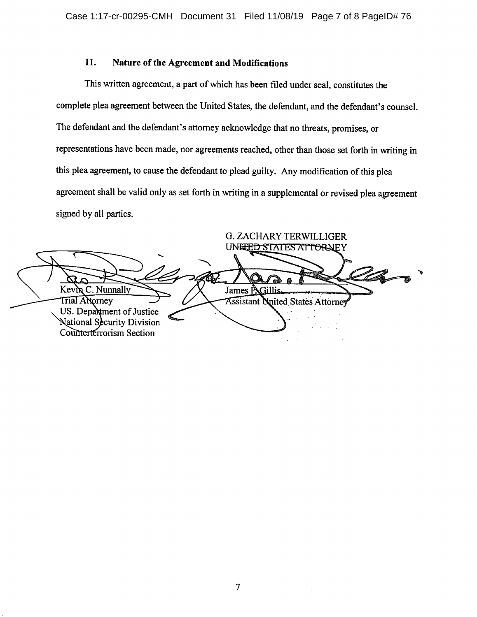## 11. Nature of the Agreement and Modifications

This written agreement, a part of which has been filed under seal, constitutes the complete plea agreement between the United States, the defendant, and the defendant's counsel. The defendant and the defendant's attorney acknowledge that no threats, promises, or representations have been made, nor agreements reached, other than those set forth in writing in this plea agreement, to cause the defendant to plead guilty. Any modification of this plea agreement shall be valid only as set forth in writing in a supplemental or revised plea agreement signed by all parties.

**G. ZACHARY TERWILLIGER** UN<del>ICED STATES ATTOR</del>NEY Kevin C. Nunnally James P. Gillis Trial Attorney **Assistant United States Attorney** US. Department of Justice National Security Division Counterterrorism Section